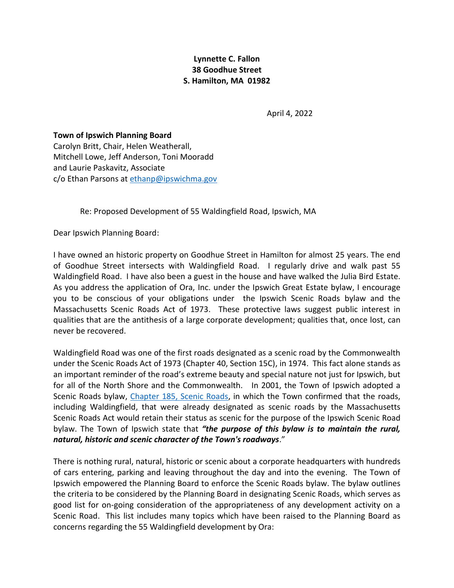## **Lynnette C. Fallon 38 Goodhue Street S. Hamilton, MA 01982**

April 4, 2022

**Town of Ipswich Planning Board** Carolyn Britt, Chair, Helen Weatherall, Mitchell Lowe, Jeff Anderson, Toni Mooradd and Laurie Paskavitz, Associate c/o Ethan Parsons at [ethanp@ipswichma.gov](https://www.ipswichma.gov/418/Planning-Board)

## Re: Proposed Development of 55 Waldingfield Road, Ipswich, MA

Dear Ipswich Planning Board:

I have owned an historic property on Goodhue Street in Hamilton for almost 25 years. The end of Goodhue Street intersects with Waldingfield Road. I regularly drive and walk past 55 Waldingfield Road. I have also been a guest in the house and have walked the Julia Bird Estate. As you address the application of Ora, Inc. under the Ipswich Great Estate bylaw, I encourage you to be conscious of your obligations under the Ipswich Scenic Roads bylaw and the Massachusetts Scenic Roads Act of 1973. These protective laws suggest public interest in qualities that are the antithesis of a large corporate development; qualities that, once lost, can never be recovered.

Waldingfield Road was one of the first roads designated as a scenic road by the Commonwealth under the Scenic Roads Act of 1973 (Chapter 40, Section 15C), in 1974. This fact alone stands as an important reminder of the road's extreme beauty and special nature not just for Ipswich, but for all of the North Shore and the Commonwealth. In 2001, the Town of Ipswich adopted a Scenic Roads bylaw, [Chapter 185, Scenic Roads,](https://ecode360.com/30685836) in which the Town confirmed that the roads, including Waldingfield, that were already designated as scenic roads by the Massachusetts Scenic Roads Act would retain their status as scenic for the purpose of the Ipswich Scenic Road bylaw. The Town of Ipswich state that *"the purpose of this bylaw is to maintain the rural, natural, historic and scenic character of the Town's roadways*."

There is nothing rural, natural, historic or scenic about a corporate headquarters with hundreds of cars entering, parking and leaving throughout the day and into the evening. The Town of Ipswich empowered the Planning Board to enforce the Scenic Roads bylaw. The bylaw outlines the criteria to be considered by the Planning Board in designating Scenic Roads, which serves as good list for on-going consideration of the appropriateness of any development activity on a Scenic Road. This list includes many topics which have been raised to the Planning Board as concerns regarding the 55 Waldingfield development by Ora: